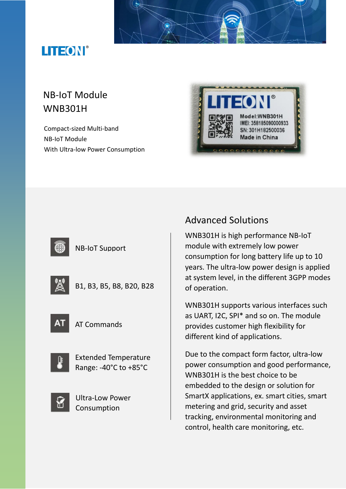# LITEON®

## NB-IoT Module WNB301H

Compact-sized Multi-band NB-IoT Module With Ultra-low Power Consumption





### NB-IoT Support

|--|--|

B1, B3, B5, B8, B20, B28



AT Commands



Extended Temperature Range: -40°C to +85°C



Ultra-Low Power Consumption

## Advanced Solutions

WNB301H is high performance NB-IoT module with extremely low power consumption for long battery life up to 10 years. The ultra-low power design is applied at system level, in the different 3GPP modes of operation.

WNB301H supports various interfaces such as UART, I2C, SPI\* and so on. The module provides customer high flexibility for different kind of applications.

Due to the compact form factor, ultra-low power consumption and good performance, WNB301H is the best choice to be embedded to the design or solution for SmartX applications, ex. smart cities, smart metering and grid, security and asset tracking, environmental monitoring and control, health care monitoring, etc.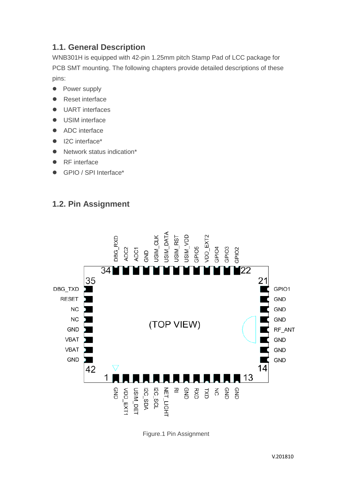## **1.1. General Description**

WNB301H is equipped with 42-pin 1.25mm pitch Stamp Pad of LCC package for PCB SMT mounting. The following chapters provide detailed descriptions of these pins:

- Power supply
- Reset interface
- **UART** interfaces
- **.** USIM interface
- ADC interface
- I2C interface\*
- Network status indication\*
- RF interface
- GPIO / SPI Interface\*

## **1.2. Pin Assignment**



Figure.1 Pin Assignment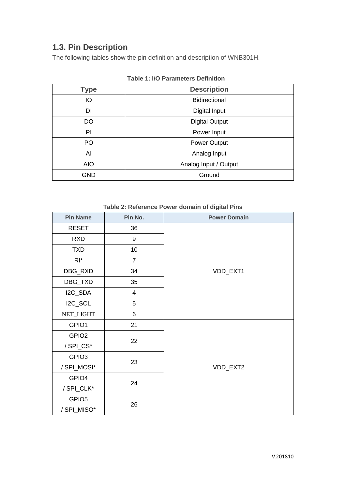## **1.3. Pin Description**

The following tables show the pin definition and description of WNB301H.

| <b>Type</b> | <b>Description</b>    |  |  |  |  |  |
|-------------|-----------------------|--|--|--|--|--|
| IO          | <b>Bidirectional</b>  |  |  |  |  |  |
| DI          | Digital Input         |  |  |  |  |  |
| DO          | <b>Digital Output</b> |  |  |  |  |  |
| PI          | Power Input           |  |  |  |  |  |
| PO          | Power Output          |  |  |  |  |  |
| AI          | Analog Input          |  |  |  |  |  |
| <b>AIO</b>  | Analog Input / Output |  |  |  |  |  |
| <b>GND</b>  | Ground                |  |  |  |  |  |

| <b>Table 1: I/O Parameters Definition</b> |  |
|-------------------------------------------|--|
|-------------------------------------------|--|

|  | Table 2: Reference Power domain of digital Pins |  |  |  |
|--|-------------------------------------------------|--|--|--|
|  |                                                 |  |  |  |

| <b>Pin Name</b>   | Pin No.                 | <b>Power Domain</b> |  |  |  |
|-------------------|-------------------------|---------------------|--|--|--|
| <b>RESET</b>      | 36                      |                     |  |  |  |
| <b>RXD</b>        | 9                       |                     |  |  |  |
| <b>TXD</b>        | 10                      |                     |  |  |  |
| $RI^*$            | $\overline{7}$          |                     |  |  |  |
| DBG_RXD           | 34                      | VDD_EXT1            |  |  |  |
| DBG_TXD           | 35                      |                     |  |  |  |
| I2C_SDA           | $\overline{\mathbf{4}}$ |                     |  |  |  |
| I2C_SCL           | 5                       |                     |  |  |  |
| NET_LIGHT         | 6                       |                     |  |  |  |
| GPIO1             | 21                      |                     |  |  |  |
| GPIO <sub>2</sub> |                         | 22                  |  |  |  |
| /SPI_CS*          |                         |                     |  |  |  |
| GPIO <sub>3</sub> | 23                      |                     |  |  |  |
| /SPI_MOSI*        |                         | VDD_EXT2            |  |  |  |
| GPIO4             | 24                      |                     |  |  |  |
| / SPI_CLK*        |                         |                     |  |  |  |
| GPIO <sub>5</sub> | 26                      |                     |  |  |  |
| /SPI_MISO*        |                         |                     |  |  |  |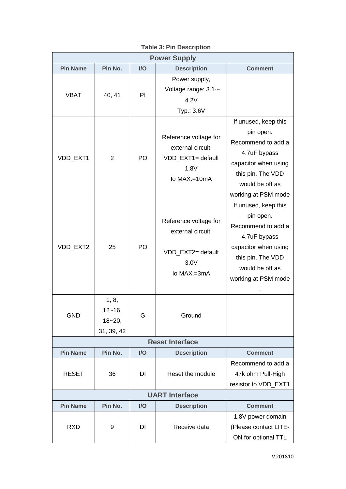| <b>Power Supply</b>   |                                                   |     |                                                                                            |                                                                                                                                                                |  |  |  |
|-----------------------|---------------------------------------------------|-----|--------------------------------------------------------------------------------------------|----------------------------------------------------------------------------------------------------------------------------------------------------------------|--|--|--|
| <b>Pin Name</b>       | Pin No.                                           | I/O | <b>Description</b>                                                                         | <b>Comment</b>                                                                                                                                                 |  |  |  |
| <b>VBAT</b>           | 40, 41                                            | PI  | Power supply,<br>Voltage range: $3.1$ ~<br>4.2V<br>Typ.: 3.6V                              |                                                                                                                                                                |  |  |  |
| VDD_EXT1              | $\overline{2}$                                    | PO  | Reference voltage for<br>external circuit.<br>VDD_EXT1= default<br>1.8V<br>lo $MAX = 10mA$ | If unused, keep this<br>pin open.<br>Recommend to add a<br>4.7uF bypass<br>capacitor when using<br>this pin. The VDD<br>would be off as<br>working at PSM mode |  |  |  |
| VDD_EXT2              | 25                                                | PO  | Reference voltage for<br>external circuit.<br>VDD_EXT2= default<br>3.0V<br>lo MAX.=3mA     | If unused, keep this<br>pin open.<br>Recommend to add a<br>4.7uF bypass<br>capacitor when using<br>this pin. The VDD<br>would be off as<br>working at PSM mode |  |  |  |
| <b>GND</b>            | 1, 8,<br>$12 - 16$ ,<br>$18 - 20$ ,<br>31, 39, 42 | G   | Ground                                                                                     |                                                                                                                                                                |  |  |  |
|                       | <b>Reset Interface</b>                            |     |                                                                                            |                                                                                                                                                                |  |  |  |
| <b>Pin Name</b>       | Pin No.                                           | I/O | <b>Description</b>                                                                         | <b>Comment</b>                                                                                                                                                 |  |  |  |
| <b>RESET</b>          | 36                                                | DI  | Reset the module                                                                           | Recommend to add a<br>47k ohm Pull-High<br>resistor to VDD EXT1                                                                                                |  |  |  |
| <b>UART Interface</b> |                                                   |     |                                                                                            |                                                                                                                                                                |  |  |  |
| <b>Pin Name</b>       | Pin No.                                           | I/O | <b>Description</b>                                                                         | <b>Comment</b>                                                                                                                                                 |  |  |  |
| <b>RXD</b>            | 9                                                 | DI  | Receive data                                                                               | 1.8V power domain<br>(Please contact LITE-<br>ON for optional TTL                                                                                              |  |  |  |

**Table 3: Pin Description**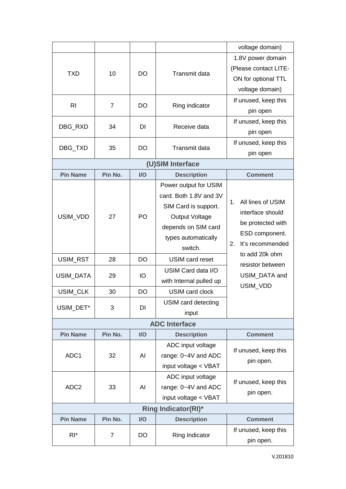|                  |                |           |                                                                                                                                                           | voltage domain)                                                                                              |
|------------------|----------------|-----------|-----------------------------------------------------------------------------------------------------------------------------------------------------------|--------------------------------------------------------------------------------------------------------------|
| <b>TXD</b>       | 10             | DO        | Transmit data                                                                                                                                             | 1.8V power domain<br>(Please contact LITE-<br>ON for optional TTL<br>voltage domain)                         |
| R <sub>l</sub>   | 7              | DO        | Ring indicator                                                                                                                                            | If unused, keep this<br>pin open                                                                             |
| DBG_RXD          | 34             | DI        | Receive data                                                                                                                                              | If unused, keep this<br>pin open                                                                             |
| DBG_TXD          | 35             | <b>DO</b> | <b>Transmit data</b>                                                                                                                                      | If unused, keep this<br>pin open                                                                             |
|                  |                |           | (U)SIM Interface                                                                                                                                          |                                                                                                              |
| <b>Pin Name</b>  | Pin No.        | I/O       | <b>Description</b>                                                                                                                                        | <b>Comment</b>                                                                                               |
| USIM_VDD         | 27             | PO        | Power output for USIM<br>card. Both 1.8V and 3V<br>SIM Card is support.<br><b>Output Voltage</b><br>depends on SIM card<br>types automatically<br>switch. | All lines of USIM<br>1.<br>interface should<br>be protected with<br>ESD component.<br>It's recommended<br>2. |
| USIM_RST         | 28             | <b>DO</b> | <b>USIM card reset</b>                                                                                                                                    | to add 20k ohm                                                                                               |
| USIM_DATA        | 29             | IO        | USIM Card data I/O<br>with Internal pulled up                                                                                                             | resistor between<br>USIM DATA and<br>USIM_VDD                                                                |
| USIM_CLK         | 30             | <b>DO</b> | <b>USIM card clock</b>                                                                                                                                    |                                                                                                              |
| USIM_DET*        | 3              | DI        | USIM card detecting<br>input                                                                                                                              |                                                                                                              |
|                  |                |           | <b>ADC</b> Interface                                                                                                                                      |                                                                                                              |
| <b>Pin Name</b>  | Pin No.        | I/O       | <b>Description</b>                                                                                                                                        | <b>Comment</b>                                                                                               |
| ADC1             | 32             | AI        | ADC input voltage<br>range: 0~4V and ADC<br>input voltage < VBAT                                                                                          | If unused, keep this<br>pin open.                                                                            |
| ADC <sub>2</sub> | 33             | AI        | ADC input voltage<br>range: 0~4V and ADC<br>input voltage < VBAT                                                                                          | If unused, keep this<br>pin open.                                                                            |
|                  |                |           | <b>Ring Indicator(RI)*</b>                                                                                                                                |                                                                                                              |
| <b>Pin Name</b>  | Pin No.        | I/O       | <b>Description</b>                                                                                                                                        | <b>Comment</b>                                                                                               |
| $R^*$            | $\overline{7}$ | DO        | Ring Indicator                                                                                                                                            | If unused, keep this<br>pin open.                                                                            |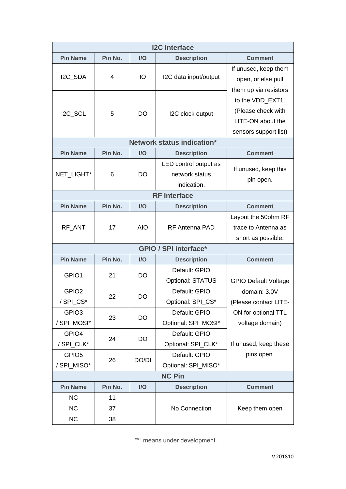| <b>I2C</b> Interface |         |            |                                   |                             |  |  |
|----------------------|---------|------------|-----------------------------------|-----------------------------|--|--|
| <b>Pin Name</b>      | Pin No. | I/O        | <b>Description</b>                | <b>Comment</b>              |  |  |
|                      |         |            | I2C data input/output             | If unused, keep them        |  |  |
| I2C_SDA              | 4       | IO         |                                   | open, or else pull          |  |  |
|                      |         |            |                                   | them up via resistors       |  |  |
|                      |         |            |                                   | to the VDD_EXT1.            |  |  |
| I2C_SCL              | 5       | <b>DO</b>  | I2C clock output                  | (Please check with          |  |  |
|                      |         |            |                                   | LITE-ON about the           |  |  |
|                      |         |            |                                   | sensors support list)       |  |  |
|                      |         |            | <b>Network status indication*</b> |                             |  |  |
| <b>Pin Name</b>      | Pin No. | I/O        | <b>Description</b>                | <b>Comment</b>              |  |  |
|                      |         |            | LED control output as             | If unused, keep this        |  |  |
| NET_LIGHT*           | 6       | <b>DO</b>  | network status                    | pin open.                   |  |  |
|                      |         |            | indication.                       |                             |  |  |
|                      |         |            | <b>RF</b> Interface               |                             |  |  |
| <b>Pin Name</b>      | Pin No. | I/O        | <b>Description</b>                | <b>Comment</b>              |  |  |
|                      |         |            |                                   | Layout the 50ohm RF         |  |  |
| RF_ANT               | 17      | <b>AIO</b> | RF Antenna PAD                    | trace to Antenna as         |  |  |
|                      |         |            |                                   | short as possible.          |  |  |
|                      |         |            | <b>GPIO / SPI interface*</b>      |                             |  |  |
| <b>Pin Name</b>      | Pin No. | I/O        | <b>Description</b>                | <b>Comment</b>              |  |  |
| GPIO1                | 21      | DO         | Default: GPIO                     |                             |  |  |
|                      |         |            | Optional: STATUS                  | <b>GPIO Default Voltage</b> |  |  |
| GPIO <sub>2</sub>    | 22      | <b>DO</b>  | Default: GPIO                     | domain: 3.0V                |  |  |
| /SPI_CS*             |         |            | Optional: SPI_CS*                 | (Please contact LITE-       |  |  |
| GPIO <sub>3</sub>    |         | DO         | Default: GPIO                     | ON for optional TTL         |  |  |
| /SPI_MOSI*           | 23      |            | Optional: SPI_MOSI*               | voltage domain)             |  |  |
| GPIO4                |         |            | Default: GPIO                     |                             |  |  |
| / SPI CLK*           | 24      | DO         | Optional: SPI_CLK*                | If unused, keep these       |  |  |
| GPIO <sub>5</sub>    |         |            | Default: GPIO                     | pins open.                  |  |  |
| /SPI_MISO*           | 26      | DO/DI      | Optional: SPI_MISO*               |                             |  |  |
| <b>NC Pin</b>        |         |            |                                   |                             |  |  |
| <b>Pin Name</b>      | Pin No. | I/O        | <b>Description</b>                | <b>Comment</b>              |  |  |
| <b>NC</b>            | 11      |            |                                   |                             |  |  |
| <b>NC</b>            | 37      |            | No Connection                     | Keep them open              |  |  |
| <b>NC</b>            | 38      |            |                                   |                             |  |  |

"\*" means under development.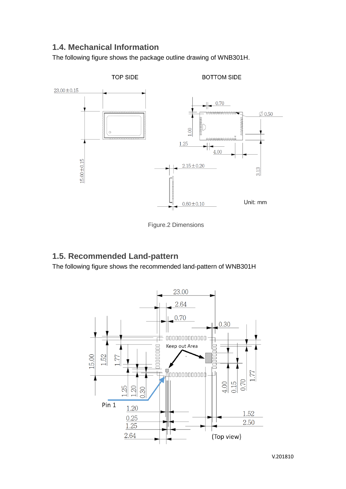### **1.4. Mechanical Information**

The following figure shows the package outline drawing of WNB301H.



Figure.2 Dimensions

## **1.5. Recommended Land-pattern**

The following figure shows the recommended land-pattern of WNB301H